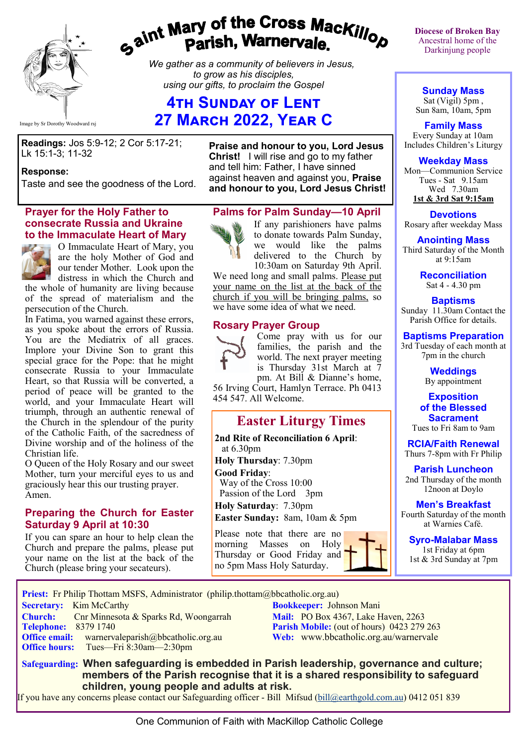

# gaint Mary of the Cross Mackillop<br>ga<sup>int</sup> Parish, Warnervale.

*We gather as a community of believers in Jesus, to grow as his disciples, using our gifts, to proclaim the Gospel*

## **4th Sunday of Lent 27 March 2022, Year C**

Image by Sr Dorothy Woodward rsj

**Readings:** Jos 5:9-12; 2 Cor 5:17-21; Lk 15:1-3; 11-32

#### **Response:**

Taste and see the goodness of the Lord.

#### **Prayer for the Holy Father to consecrate Russia and Ukraine to the Immaculate Heart of Mary**



O Immaculate Heart of Mary, you are the holy Mother of God and our tender Mother. Look upon the distress in which the Church and

the whole of humanity are living because of the spread of materialism and the persecution of the Church.

In Fatima, you warned against these errors, as you spoke about the errors of Russia. You are the Mediatrix of all graces. Implore your Divine Son to grant this special grace for the Pope: that he might consecrate Russia to your Immaculate Heart, so that Russia will be converted, a period of peace will be granted to the world, and your Immaculate Heart will triumph, through an authentic renewal of the Church in the splendour of the purity of the Catholic Faith, of the sacredness of Divine worship and of the holiness of the Christian life.

O Queen of the Holy Rosary and our sweet Mother, turn your merciful eyes to us and graciously hear this our trusting prayer. Amen.

#### **Preparing the Church for Easter Saturday 9 April at 10:30**

If you can spare an hour to help clean the Church and prepare the palms, please put your name on the list at the back of the Church (please bring your secateurs).

**Praise and honour to you, Lord Jesus Christ!** I will rise and go to my father and tell him: Father, I have sinned against heaven and against you, **Praise and honour to you, Lord Jesus Christ!**

#### **Palms for Palm Sunday—10 April**



If any parishioners have palms to donate towards Palm Sunday, we would like the palms delivered to the Church by 10:30am on Saturday 9th April.

We need long and small palms. Please put your name on the list at the back of the church if you will be bringing palms, so we have some idea of what we need.

#### **Rosary Prayer Group**



Come pray with us for our families, the parish and the world. The next prayer meeting is Thursday 31st March at 7

pm. At Bill & Dianne's home, 56 Irving Court, Hamlyn Terrace. Ph 0413 454 547. All Welcome.

## **Easter Liturgy Times**

**2nd Rite of Reconciliation 6 April**: at 6.30pm

**Holy Thursday**: 7.30pm

**Good Friday**:

 Way of the Cross 10:00 Passion of the Lord 3pm

**Holy Saturday**: 7.30pm

**Easter Sunday:** 8am, 10am & 5pm

Please note that there are no morning Masses on Holy Thursday or Good Friday and no 5pm Mass Holy Saturday.

**Diocese of Broken Bay**  Ancestral home of the Darkinjung people

**Sunday Mass** Sat (Vigil) 5pm , Sun 8am, 10am, 5pm

**Family Mass**  Every Sunday at 10am Includes Children's Liturgy

**Weekday Mass**

Mon—Communion Service Tues - Sat 9.15am Wed 7.30am **1st & 3rd Sat 9:15am**

**Devotions** Rosary after weekday Mass

**Anointing Mass** Third Saturday of the Month at 9:15am

> **Reconciliation** Sat 4 - 4.30 pm

> > **Baptisms**

Sunday 11.30am Contact the Parish Office for details.

**Baptisms Preparation** 3rd Tuesday of each month at 7pm in the church

> **Weddings**  By appointment

#### **Exposition of the Blessed Sacrament**

Tues to Fri 8am to 9am

**RCIA/Faith Renewal**  Thurs 7-8pm with Fr Philip

**Parish Luncheon** 2nd Thursday of the month 12noon at Doylo

**Men's Breakfast** Fourth Saturday of the month at Warnies Café.

**Syro-Malabar Mass** 1st Friday at 6pm 1st & 3rd Sunday at 7pm

 **Priest:** Fr Philip Thottam MSFS, Administrator (philip.thottam@bbcatholic.org.au) **Secretary:** Kim McCarthy **Bookkeeper:** Johnson Mani **Church:** Cnr Minnesota & Sparks Rd, Woongarrah **Mail: PO Box 4367, Lake Haven, 2263**<br> **Parish Mobile:** (out of hours) 0423 279 **Office email:** warnervaleparish@bbcatholic.org.au **Web:** [www.bbcatholic.org.au/warnervale](https://www.bbcatholic.org.au/warnervale)

**Office hours:** Tues—Fri 8:30am—2:30pm

**Parish Mobile:** (out of hours) 0423 279 263

 **Safeguarding: When safeguarding is embedded in Parish leadership, governance and culture; members of the Parish recognise that it is a shared responsibility to safeguard children, young people and adults at risk.**

If you have any concerns please contact our Safeguarding officer - Bill Mifsud ([bill@earthgold.com.au\)](mailto:bill@earthgold.com.au) 0412 051 839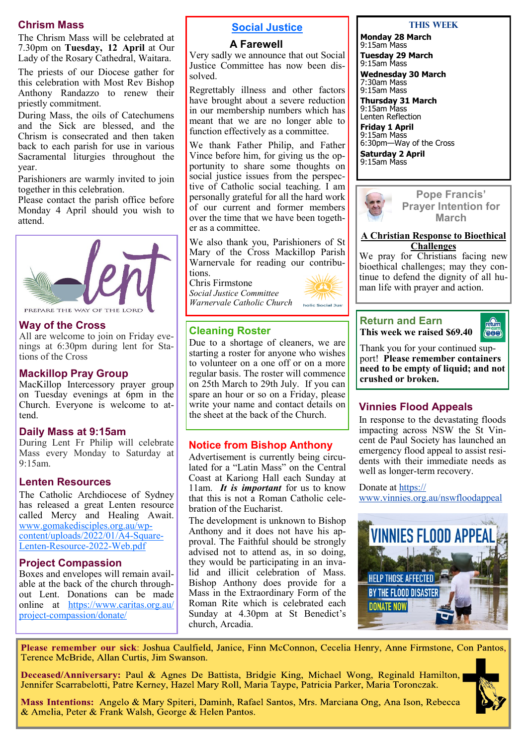#### **Chrism Mass**

The Chrism Mass will be celebrated at 7.30pm on **Tuesday, 12 April** at Our Lady of the Rosary Cathedral, Waitara.

The priests of our Diocese gather for this celebration with Most Rev Bishop Anthony Randazzo to renew their priestly commitment.

During Mass, the oils of Catechumens and the Sick are blessed, and the Chrism is consecrated and then taken back to each parish for use in various Sacramental liturgies throughout the year.

Parishioners are warmly invited to join together in this celebration.

Please contact the parish office before Monday 4 April should you wish to attend.



#### **Way of the Cross**

All are welcome to join on Friday evenings at 6:30pm during lent for Stations of the Cross

### **Mackillop Pray Group**

MacKillop Intercessory prayer group on Tuesday evenings at 6pm in the Church. Everyone is welcome to attend.

#### **Daily Mass at 9:15am**

During Lent Fr Philip will celebrate Mass every Monday to Saturday at 9:15am.

#### **Lenten Resources**

The Catholic Archdiocese of Sydney has released a great Lenten resource called Mercy and Healing Await. [www.gomakedisciples.org.au/wp](http://www.gomakedisciples.org.au/wp-content/uploads/2022/01/A4-Square-Lenten-Resource-2022-Web.pdf)[content/uploads/2022/01/A4](http://www.gomakedisciples.org.au/wp-content/uploads/2022/01/A4-Square-Lenten-Resource-2022-Web.pdf)-Square-Lenten-[Resource](http://www.gomakedisciples.org.au/wp-content/uploads/2022/01/A4-Square-Lenten-Resource-2022-Web.pdf)-2022-Web.pdf

## **Project Compassion**

Boxes and envelopes will remain available at the back of the church throughout Lent. Donations can be made online at [https://www.caritas.org.au/](https://www.caritas.org.au/project-compassion/donate/) project-[compassion/donate/](https://www.caritas.org.au/project-compassion/donate/)

#### **Social Justice**

#### **A Farewell**

Very sadly we announce that out Social Justice Committee has now been dissolved.

Regrettably illness and other factors have brought about a severe reduction in our membership numbers which has meant that we are no longer able to function effectively as a committee.

We thank Father Philip, and Father Vince before him, for giving us the opportunity to share some thoughts on social justice issues from the perspective of Catholic social teaching. I am personally grateful for all the hard work of our current and former members over the time that we have been together as a committee.

We also thank you, Parishioners of St Mary of the Cross Mackillop Parish Warnervale for reading our contributions.

Chris Firmstone *Social Justice Committee Warnervale Catholic Church* 



#### **Cleaning Roster**

Due to a shortage of cleaners, we are starting a roster for anyone who wishes to volunteer on a one off or on a more regular basis. The roster will commence on 25th March to 29th July. If you can spare an hour or so on a Friday, please write your name and contact details on the sheet at the back of the Church.

#### **Notice from Bishop Anthony**

Advertisement is currently being circulated for a "Latin Mass" on the Central Coast at Kariong Hall each Sunday at 11am. *It is important* for us to know that this is not a Roman Catholic celebration of the Eucharist.

The development is unknown to Bishop Anthony and it does not have his approval. The Faithful should be strongly advised not to attend as, in so doing, they would be participating in an invalid and illicit celebration of Mass. Bishop Anthony does provide for a Mass in the Extraordinary Form of the Roman Rite which is celebrated each Sunday at 4.30pm at St Benedict's church, Arcadia.

#### **This Week**

**Monday 28 March** 9:15am Mass

**Tuesday 29 March** 9:15am Mass

**Wednesday 30 March** 7:30am Mass 9:15am Mass

**Thursday 31 March**  9:15am Mass Lenten Reflection

**Friday 1 April**  9:15am Mass 6:30pm—Way of the Cross **Saturday 2 April** 9:15am Mass



**Pope Francis' Prayer Intention for March**

**A Christian Response to Bioethical Challenges**

We pray for Christians facing new bioethical challenges; may they continue to defend the dignity of all human life with prayer and action.

## **Return and Earn**

**This week we raised \$69.40**



Thank you for your continued support! **Please remember containers need to be empty of liquid; and not crushed or broken.** 

#### **Vinnies Flood Appeals**

In response to the devastating floods impacting across NSW the St Vincent de Paul Society has launched an emergency flood appeal to assist residents with their immediate needs as well as longer-term recovery.

Donate at [https://](https://bbcatholic.us8.list-manage.com/track/click?u=466af249e088db70ab864d088&id=559ec28b85&e=e312df0f80)

[www.vinnies.org.au/nswfloodappeal](https://bbcatholic.us8.list-manage.com/track/click?u=466af249e088db70ab864d088&id=559ec28b85&e=e312df0f80)



Please remember our sick: Joshua Caulfield, Janice, Finn McConnon, Cecelia Henry, Anne Firmstone, Con Pantos, Terence McBride, Allan Curtis, Jim Swanson.

Deceased/Anniversary: Paul & Agnes De Battista, Bridgie King, Michael Wong, Reginald Hamilton, Jennifer Scarrabelotti, Patre Kerney, Hazel Mary Roll, Maria Taype, Patricia Parker, Maria Toronczak.

Mass Intentions: Angelo & Mary Spiteri, Daminh, Rafael Santos, Mrs. Marciana Ong, Ana Ison, Rebecca & Amelia, Peter & Frank Walsh, George & Helen Pantos.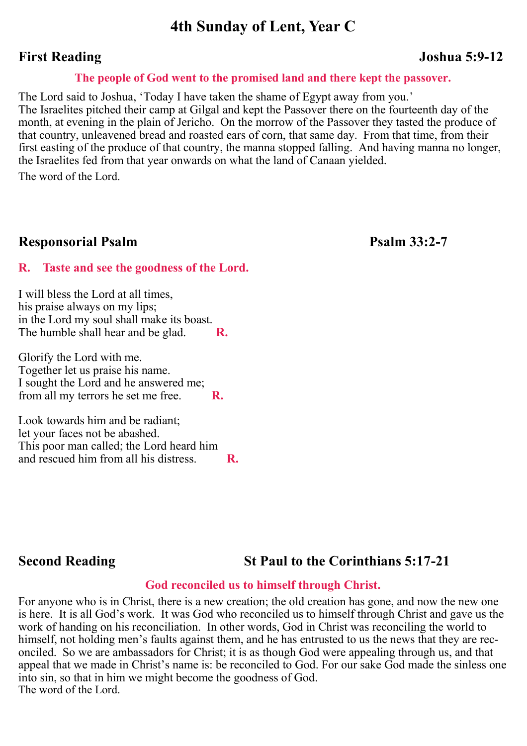# **4th Sunday of Lent, Year C**

## **First Reading Joshua 5:9-12**

#### **The people of God went to the promised land and there kept the passover.**

The Lord said to Joshua, 'Today I have taken the shame of Egypt away from you.' The Israelites pitched their camp at Gilgal and kept the Passover there on the fourteenth day of the month, at evening in the plain of Jericho. On the morrow of the Passover they tasted the produce of that country, unleavened bread and roasted ears of corn, that same day. From that time, from their first easting of the produce of that country, the manna stopped falling. And having manna no longer, the Israelites fed from that year onwards on what the land of Canaan yielded.

The word of the Lord.

## **Responsorial Psalm Psalm 33:2-7**

## **R. Taste and see the goodness of the Lord.**

I will bless the Lord at all times, his praise always on my lips; in the Lord my soul shall make its boast. The humble shall hear and be glad. **R.**

Glorify the Lord with me. Together let us praise his name. I sought the Lord and he answered me; from all my terrors he set me free. **R.**

Look towards him and be radiant; let your faces not be abashed. This poor man called; the Lord heard him and rescued him from all his distress. **R.**

## **Second Reading St Paul to the Corinthians 5:17-21**

#### **God reconciled us to himself through Christ.**

For anyone who is in Christ, there is a new creation; the old creation has gone, and now the new one is here. It is all God's work. It was God who reconciled us to himself through Christ and gave us the work of handing on his reconciliation. In other words, God in Christ was reconciling the world to himself, not holding men's faults against them, and he has entrusted to us the news that they are reconciled. So we are ambassadors for Christ; it is as though God were appealing through us, and that appeal that we made in Christ's name is: be reconciled to God. For our sake God made the sinless one into sin, so that in him we might become the goodness of God. The word of the Lord.